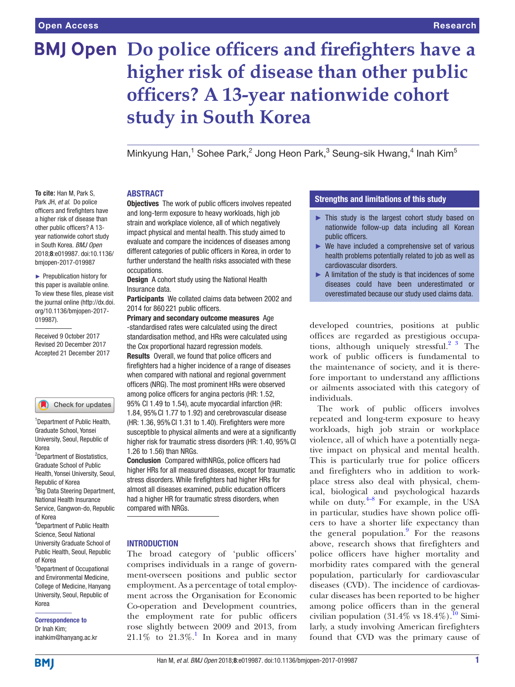# **BMJ Open** Do police officers and firefighters have a **higher risk of disease than other public officers? A 13-year nationwide cohort study in South Korea**

Minkyung Han,<sup>1</sup> Sohee Park,<sup>2</sup> Jong Heon Park,<sup>3</sup> Seung-sik Hwang,<sup>4</sup> Inah Kim<sup>5</sup>

# ABSTRACT

**Objectives** The work of public officers involves repeated and long-term exposure to heavy workloads, high job strain and workplace violence, all of which negatively impact physical and mental health. This study aimed to evaluate and compare the incidences of diseases among different categories of public officers in Korea, in order to further understand the health risks associated with these occupations.

Design A cohort study using the National Health Insurance data.

Participants We collated claims data between 2002 and 2014 for 860 221 public officers.

Primary and secondary outcome measures Age -standardised rates were calculated using the direct standardisation method, and HRs were calculated using the Cox proportional hazard regression models. Results Overall, we found that police officers and firefighters had a higher incidence of a range of diseases when compared with national and regional government officers (NRG). The most prominent HRs were observed among police officers for angina pectoris (HR: 1.52, 95% CI 1.49 to 1.54), acute myocardial infarction (HR: 1.84, 95%CI 1.77 to 1.92) and cerebrovascular disease (HR: 1.36, 95% CI 1.31 to 1.40). Firefighters were more susceptible to physical ailments and were at a significantly higher risk for traumatic stress disorders (HR: 1.40, 95% CI 1.26 to 1.56) than NRGs.

Conclusion Compared withNRGs, police officers had higher HRs for all measured diseases, except for traumatic stress disorders. While firefighters had higher HRs for almost all diseases examined, public education officers had a higher HR for traumatic stress disorders, when compared with NRGs.

#### **INTRODUCTION**

The broad category of 'public officers' comprises individuals in a range of government-overseen positions and public sector employment. As a percentage of total employment across the Organisation for Economic Co-operation and Development countries, the employment rate for public officers rose slightly between 2009 and 2013, from  $21.1\%$  $21.1\%$  $21.1\%$  to  $21.3\%$ .<sup>1</sup> In Korea and in many

# Strengths and limitations of this study

- ► This study is the largest cohort study based on nationwide follow-up data including all Korean public officers.
- $\blacktriangleright$  We have included a comprehensive set of various health problems potentially related to job as well as cardiovascular disorders.
- ► A limitation of the study is that incidences of some diseases could have been underestimated or overestimated because our study used claims data.

developed countries, positions at public offices are regarded as prestigious occupations, although uniquely stressful.<sup>2</sup>  $\frac{3}{7}$  The work of public officers is fundamental to the maintenance of society, and it is therefore important to understand any afflictions or ailments associated with this category of individuals.

The work of public officers involves repeated and long-term exposure to heavy workloads, high job strain or workplace violence, all of which have a potentially negative impact on physical and mental health. This is particularly true for police officers and firefighters who in addition to workplace stress also deal with physical, chemical, biological and psychological hazards while on duty. $4-8$  For example, in the USA in particular, studies have shown police officers to have a shorter life expectancy than the general population. $9$  For the reasons above, research shows that firefighters and police officers have higher mortality and morbidity rates compared with the general population, particularly for cardiovascular diseases (CVD). The incidence of cardiovascular diseases has been reported to be higher among police officers than in the general civilian population  $(31.4\% \text{ vs } 18.4\%).$ <sup>10</sup> Similarly, a study involving American firefighters found that CVD was the primary cause of

**To cite:** Han M, Park S, Park JH, *et al*. Do police officers and firefighters have a higher risk of disease than other public officers? A 13 year nationwide cohort study in South Korea. *BMJ Open* 2018;8:e019987. doi:10.1136/ bmjopen-2017-019987

► Prepublication history for this paper is available online. To view these files, please visit the journal online [\(http://dx.doi.](http://dx.doi.org/10.1136/bmjopen-2017-019987) [org/10.1136/bmjopen-2017-](http://dx.doi.org/10.1136/bmjopen-2017-019987) [019987\)](http://dx.doi.org/10.1136/bmjopen-2017-019987).

Received 9 October 2017 Revised 20 December 2017 Accepted 21 December 2017

#### Check for updates

<sup>1</sup>Department of Public Health, Graduate School, Yonsei University, Seoul, Republic of Korea 2 Department of Biostatistics, Graduate School of Public Health, Yonsei University, Seoul, Republic of Korea <sup>3</sup>Big Data Steering Department, National Health Insurance Service, Gangwon-do, Republic of Korea 4 Department of Public Health Science, Seoul National University Graduate School of Public Health, Seoul, Republic of Korea 5 Department of Occupational and Environmental Medicine, College of Medicine, Hanyang

University, Seoul, Republic of Korea

Correspondence to Dr Inah Kim; inahkim@hanyang.ac.kr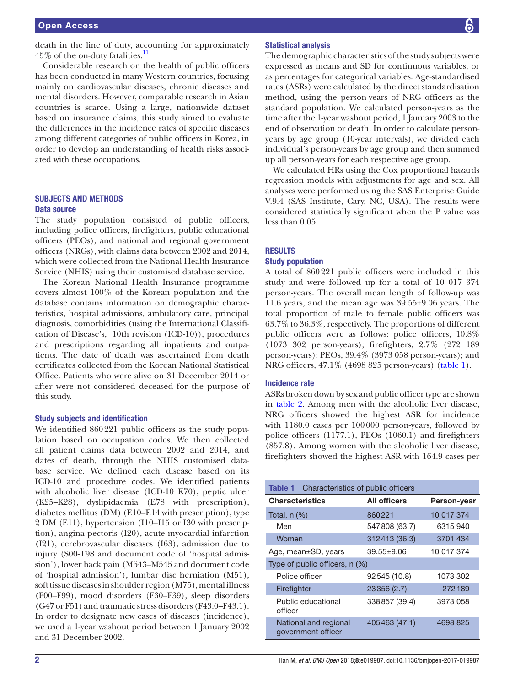death in the line of duty, accounting for approximately 45% of the on-duty fatalities.<sup>11</sup>

Considerable research on the health of public officers has been conducted in many Western countries, focusing mainly on cardiovascular diseases, chronic diseases and mental disorders. However, comparable research in Asian countries is scarce. Using a large, nationwide dataset based on insurance claims, this study aimed to evaluate the differences in the incidence rates of specific diseases among different categories of public officers in Korea, in order to develop an understanding of health risks associated with these occupations.

### SUBJECTS AND METHODS Data source

The study population consisted of public officers, including police officers, firefighters, public educational officers (PEOs), and national and regional government officers (NRGs), with claims data between 2002 and 2014, which were collected from the National Health Insurance Service (NHIS) using their customised database service.

The Korean National Health Insurance programme covers almost 100% of the Korean population and the database contains information on demographic characteristics, hospital admissions, ambulatory care, principal diagnosis, comorbidities (using the International Classification of Disease's, 10th revision (ICD-10)), procedures and prescriptions regarding all inpatients and outpatients. The date of death was ascertained from death certificates collected from the Korean National Statistical Office. Patients who were alive on 31 December 2014 or after were not considered deceased for the purpose of this study.

#### Study subjects and identification

We identified 860221 public officers as the study population based on occupation codes. We then collected all patient claims data between 2002 and 2014, and dates of death, through the NHIS customised database service. We defined each disease based on its ICD-10 and procedure codes. We identified patients with alcoholic liver disease (ICD-10 K70), peptic ulcer (K25–K28), dyslipidaemia (E78 with prescription), diabetes mellitus (DM) (E10–E14 with prescription), type 2 DM (E11), hypertension (I10–I15 or I30 with prescription), angina pectoris (I20), acute myocardial infarction (I21), cerebrovascular diseases (I63), admission due to injury (S00-T98 and document code of 'hospital admission'), lower back pain (M543–M545 and document code of 'hospital admission'), lumbar disc herniation (M51), soft tissue diseases in shoulder region (M75), mental illness (F00–F99), mood disorders (F30–F39), sleep disorders (G47 or F51) and traumatic stress disorders (F43.0–F43.1). In order to designate new cases of diseases (incidence), we used a 1-year washout period between 1 January 2002 and 31 December 2002.

#### Statistical analysis

The demographic characteristics of the study subjects were expressed as means and SD for continuous variables, or as percentages for categorical variables. Age-standardised rates (ASRs) were calculated by the direct standardisation method, using the person-years of NRG officers as the standard population. We calculated person-years as the time after the 1-year washout period, 1 January 2003 to the end of observation or death. In order to calculate personyears by age group (10-year intervals), we divided each individual's person-years by age group and then summed up all person-years for each respective age group.

We calculated HRs using the Cox proportional hazards regression models with adjustments for age and sex. All analyses were performed using the SAS Enterprise Guide V.9.4 (SAS Institute, Cary, NC, USA). The results were considered statistically significant when the P value was less than 0.05.

### **RESULTS**

#### Study population

A total of 860221 public officers were included in this study and were followed up for a total of 10 017 374 person-years. The overall mean length of follow-up was 11.6 years, and the mean age was 39.55±9.06 years. The total proportion of male to female public officers was 63.7% to 36.3%, respectively. The proportions of different public officers were as follows: police officers, 10.8% (1073 302 person-years); firefighters, 2.7% (272 189 person-years); PEOs, 39.4% (3973 058 person-years); and NRG officers, 47.1% (4698 825 person-years) [\(table](#page-1-0) 1).

### Incidence rate

ASRs broken down by sex and public officer type are shown in [table](#page-2-0) 2. Among men with the alcoholic liver disease, NRG officers showed the highest ASR for incidence with 1180.0 cases per 100000 person-years, followed by police officers (1177.1), PEOs (1060.1) and firefighters (857.8). Among women with the alcoholic liver disease, firefighters showed the highest ASR with 164.9 cases per

<span id="page-1-0"></span>

| Table 1<br>Characteristics of public officers |                     |             |  |  |  |
|-----------------------------------------------|---------------------|-------------|--|--|--|
| <b>Characteristics</b>                        | <b>All officers</b> | Person-year |  |  |  |
| Total, $n$ $(\%)$                             | 860221              | 10 017 374  |  |  |  |
| Men                                           | 547808 (63.7)       | 6315 940    |  |  |  |
| Women                                         | 312413 (36.3)       | 3701 434    |  |  |  |
| Age, mean±SD, years                           | $39.55 + 9.06$      | 10 017 374  |  |  |  |
| Type of public officers, n (%)                |                     |             |  |  |  |
| Police officer                                | 92545 (10.8)        | 1073 302    |  |  |  |
| Firefighter                                   | 23356 (2.7)         | 272189      |  |  |  |
| Public educational<br>officer                 | 338857 (39.4)       | 3973 058    |  |  |  |
| National and regional<br>government officer   | 405463 (47.1)       | 4698 825    |  |  |  |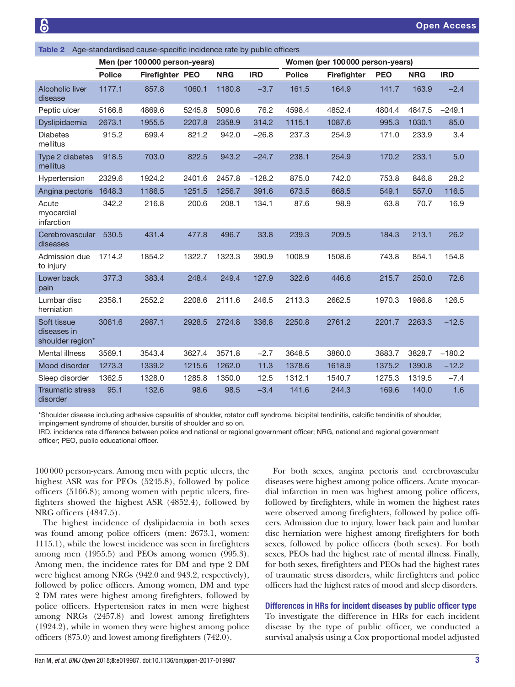<span id="page-2-0"></span>

| Age-standardised cause-specific incidence rate by public officers<br>Table 2 |                               |                 |        |            |                                 |               |             |            |            |            |
|------------------------------------------------------------------------------|-------------------------------|-----------------|--------|------------|---------------------------------|---------------|-------------|------------|------------|------------|
|                                                                              | Men (per 100000 person-years) |                 |        |            | Women (per 100000 person-years) |               |             |            |            |            |
|                                                                              | <b>Police</b>                 | Firefighter PEO |        | <b>NRG</b> | <b>IRD</b>                      | <b>Police</b> | Firefighter | <b>PEO</b> | <b>NRG</b> | <b>IRD</b> |
| Alcoholic liver<br>disease                                                   | 1177.1                        | 857.8           | 1060.1 | 1180.8     | $-3.7$                          | 161.5         | 164.9       | 141.7      | 163.9      | $-2.4$     |
| Peptic ulcer                                                                 | 5166.8                        | 4869.6          | 5245.8 | 5090.6     | 76.2                            | 4598.4        | 4852.4      | 4804.4     | 4847.5     | $-249.1$   |
| Dyslipidaemia                                                                | 2673.1                        | 1955.5          | 2207.8 | 2358.9     | 314.2                           | 1115.1        | 1087.6      | 995.3      | 1030.1     | 85.0       |
| <b>Diabetes</b><br>mellitus                                                  | 915.2                         | 699.4           | 821.2  | 942.0      | $-26.8$                         | 237.3         | 254.9       | 171.0      | 233.9      | 3.4        |
| Type 2 diabetes<br>mellitus                                                  | 918.5                         | 703.0           | 822.5  | 943.2      | $-24.7$                         | 238.1         | 254.9       | 170.2      | 233.1      | 5.0        |
| Hypertension                                                                 | 2329.6                        | 1924.2          | 2401.6 | 2457.8     | $-128.2$                        | 875.0         | 742.0       | 753.8      | 846.8      | 28.2       |
| Angina pectoris                                                              | 1648.3                        | 1186.5          | 1251.5 | 1256.7     | 391.6                           | 673.5         | 668.5       | 549.1      | 557.0      | 116.5      |
| Acute<br>myocardial<br>infarction                                            | 342.2                         | 216.8           | 200.6  | 208.1      | 134.1                           | 87.6          | 98.9        | 63.8       | 70.7       | 16.9       |
| Cerebrovascular<br>diseases                                                  | 530.5                         | 431.4           | 477.8  | 496.7      | 33.8                            | 239.3         | 209.5       | 184.3      | 213.1      | 26.2       |
| Admission due<br>to injury                                                   | 1714.2                        | 1854.2          | 1322.7 | 1323.3     | 390.9                           | 1008.9        | 1508.6      | 743.8      | 854.1      | 154.8      |
| Lower back<br>pain                                                           | 377.3                         | 383.4           | 248.4  | 249.4      | 127.9                           | 322.6         | 446.6       | 215.7      | 250.0      | 72.6       |
| Lumbar disc<br>herniation                                                    | 2358.1                        | 2552.2          | 2208.6 | 2111.6     | 246.5                           | 2113.3        | 2662.5      | 1970.3     | 1986.8     | 126.5      |
| Soft tissue<br>diseases in<br>shoulder region*                               | 3061.6                        | 2987.1          | 2928.5 | 2724.8     | 336.8                           | 2250.8        | 2761.2      | 2201.7     | 2263.3     | $-12.5$    |
| Mental illness                                                               | 3569.1                        | 3543.4          | 3627.4 | 3571.8     | $-2.7$                          | 3648.5        | 3860.0      | 3883.7     | 3828.7     | $-180.2$   |
| Mood disorder                                                                | 1273.3                        | 1339.2          | 1215.6 | 1262.0     | 11.3                            | 1378.6        | 1618.9      | 1375.2     | 1390.8     | $-12.2$    |
| Sleep disorder                                                               | 1362.5                        | 1328.0          | 1285.8 | 1350.0     | 12.5                            | 1312.1        | 1540.7      | 1275.3     | 1319.5     | $-7.4$     |
| <b>Traumatic stress</b><br>disorder                                          | 95.1                          | 132.6           | 98.6   | 98.5       | $-3.4$                          | 141.6         | 244.3       | 169.6      | 140.0      | 1.6        |

\*Shoulder disease including adhesive capsulitis of shoulder, rotator cuff syndrome, bicipital tendinitis, calcific tendinitis of shoulder, impingement syndrome of shoulder, bursitis of shoulder and so on.

IRD, incidence rate difference between police and national or regional government officer; NRG, national and regional government officer; PEO, public educational officer.

100000 person-years. Among men with peptic ulcers, the highest ASR was for PEOs (5245.8), followed by police officers (5166.8); among women with peptic ulcers, firefighters showed the highest ASR (4852.4), followed by NRG officers (4847.5).

The highest incidence of dyslipidaemia in both sexes was found among police officers (men: 2673.1, women: 1115.1), while the lowest incidence was seen in firefighters among men (1955.5) and PEOs among women (995.3). Among men, the incidence rates for DM and type 2 DM were highest among NRGs (942.0 and 943.2, respectively), followed by police officers. Among women, DM and type 2 DM rates were highest among firefighters, followed by police officers. Hypertension rates in men were highest among NRGs (2457.8) and lowest among firefighters (1924.2), while in women they were highest among police officers (875.0) and lowest among firefighters (742.0).

For both sexes, angina pectoris and cerebrovascular diseases were highest among police officers. Acute myocardial infarction in men was highest among police officers, followed by firefighters, while in women the highest rates were observed among firefighters, followed by police officers. Admission due to injury, lower back pain and lumbar disc herniation were highest among firefighters for both sexes, followed by police officers (both sexes). For both sexes, PEOs had the highest rate of mental illness. Finally, for both sexes, firefighters and PEOs had the highest rates of traumatic stress disorders, while firefighters and police officers had the highest rates of mood and sleep disorders.

# Differences in HRs for incident diseases by public officer type

To investigate the difference in HRs for each incident disease by the type of public officer, we conducted a survival analysis using a Cox proportional model adjusted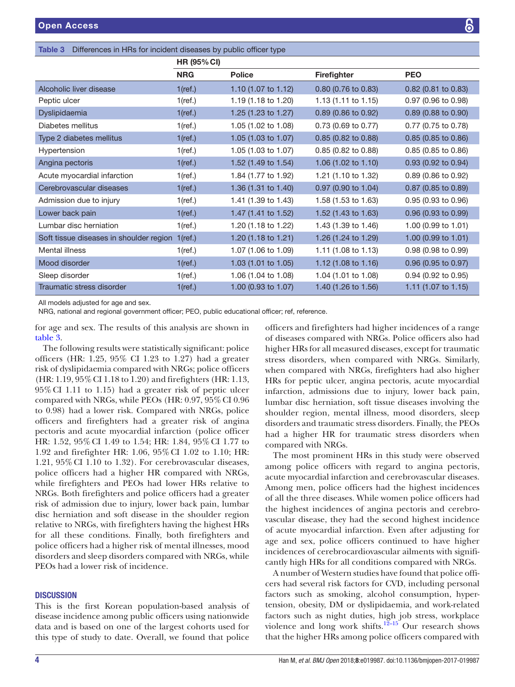<span id="page-3-0"></span>

|  |  |  | Table 3 Differences in HRs for incident diseases by public officer type |  |
|--|--|--|-------------------------------------------------------------------------|--|
|--|--|--|-------------------------------------------------------------------------|--|

|                                         | <b>HR (95% CI)</b> |                                |                                |                                |
|-----------------------------------------|--------------------|--------------------------------|--------------------------------|--------------------------------|
|                                         | <b>NRG</b>         | <b>Police</b>                  | <b>Firefighter</b>             | <b>PEO</b>                     |
| Alcoholic liver disease                 | $1$ (ref.)         | 1.10 $(1.07 \text{ to } 1.12)$ | 0.80 (0.76 to 0.83)            | $0.82$ (0.81 to 0.83)          |
| Peptic ulcer                            | $1$ (ref.)         | 1.19 (1.18 to 1.20)            | 1.13 (1.11 to 1.15)            | 0.97 (0.96 to 0.98)            |
| Dyslipidaemia                           | $1$ (ref.)         | 1.25 (1.23 to 1.27)            | 0.89 (0.86 to 0.92)            | $0.89$ (0.88 to 0.90)          |
| Diabetes mellitus                       | $1$ (ref.)         | 1.05 (1.02 to 1.08)            | 0.73 (0.69 to 0.77)            | 0.77 (0.75 to 0.78)            |
| Type 2 diabetes mellitus                | $1$ (ref.)         | 1.05 (1.03 to 1.07)            | $0.85$ (0.82 to 0.88)          | 0.85 (0.85 to 0.86)            |
| Hypertension                            | $1$ (ref.)         | 1.05 (1.03 to 1.07)            | 0.85 (0.82 to 0.88)            | 0.85 (0.85 to 0.86)            |
| Angina pectoris                         | $1$ (ref.)         | 1.52 (1.49 to 1.54)            | 1.06 $(1.02 \text{ to } 1.10)$ | $0.93$ (0.92 to 0.94)          |
| Acute myocardial infarction             | $1$ (ref.)         | 1.84 (1.77 to 1.92)            | 1.21 (1.10 to 1.32)            | 0.89 (0.86 to 0.92)            |
| Cerebrovascular diseases                | $1$ (ref.)         | 1.36 (1.31 to 1.40)            | 0.97 (0.90 to 1.04)            | 0.87 (0.85 to 0.89)            |
| Admission due to injury                 | $1$ (ref.)         | 1.41 (1.39 to 1.43)            | 1.58 (1.53 to 1.63)            | 0.95 (0.93 to 0.96)            |
| Lower back pain                         | $1$ (ref.)         | 1.47 (1.41 to 1.52)            | 1.52 (1.43 to 1.63)            | 0.96 (0.93 to 0.99)            |
| Lumbar disc herniation                  | $1$ (ref.)         | 1.20 (1.18 to 1.22)            | 1.43 (1.39 to 1.46)            | 1.00 (0.99 to 1.01)            |
| Soft tissue diseases in shoulder region | $1$ (ref.)         | 1.20 (1.18 to 1.21)            | 1.26 (1.24 to 1.29)            | 1.00 (0.99 to 1.01)            |
| Mental illness                          | $1$ (ref.)         | 1.07 (1.06 to 1.09)            | 1.11 (1.08 to 1.13)            | 0.98 (0.98 to 0.99)            |
| Mood disorder                           | $1$ (ref.)         | 1.03 (1.01 to 1.05)            | 1.12 $(1.08 \text{ to } 1.16)$ | 0.96 (0.95 to 0.97)            |
| Sleep disorder                          | $1$ (ref.)         | 1.06 (1.04 to 1.08)            | 1.04 (1.01 to 1.08)            | 0.94 (0.92 to 0.95)            |
| Traumatic stress disorder               | $1$ (ref.)         | 1.00 (0.93 to 1.07)            | 1.40 (1.26 to 1.56)            | 1.11 $(1.07 \text{ to } 1.15)$ |

All models adjusted for age and sex.

NRG, national and regional government officer; PEO, public educational officer; ref, reference.

for age and sex. The results of this analysis are shown in [table](#page-3-0) 3.

The following results were statistically significant: police officers (HR: 1.25, 95% CI 1.23 to 1.27) had a greater risk of dyslipidaemia compared with NRGs; police officers (HR: 1.19, 95%CI 1.18 to 1.20) and firefighters (HR: 1.13, 95%CI 1.11 to 1.15) had a greater risk of peptic ulcer compared with NRGs, while PEOs (HR: 0.97, 95%CI 0.96 to 0.98) had a lower risk. Compared with NRGs, police officers and firefighters had a greater risk of angina pectoris and acute myocardial infarction (police officer HR: 1.52, 95%CI 1.49 to 1.54; HR: 1.84, 95%CI 1.77 to 1.92 and firefighter HR: 1.06, 95%CI 1.02 to 1.10; HR: 1.21, 95%CI 1.10 to 1.32). For cerebrovascular diseases, police officers had a higher HR compared with NRGs, while firefighters and PEOs had lower HRs relative to NRGs. Both firefighters and police officers had a greater risk of admission due to injury, lower back pain, lumbar disc herniation and soft disease in the shoulder region relative to NRGs, with firefighters having the highest HRs for all these conditions. Finally, both firefighters and police officers had a higher risk of mental illnesses, mood disorders and sleep disorders compared with NRGs, while PEOs had a lower risk of incidence.

## **DISCUSSION**

This is the first Korean population-based analysis of disease incidence among public officers using nationwide data and is based on one of the largest cohorts used for this type of study to date. Overall, we found that police

officers and firefighters had higher incidences of a range of diseases compared with NRGs. Police officers also had higher HRs for all measured diseases, except for traumatic stress disorders, when compared with NRGs. Similarly, when compared with NRGs, firefighters had also higher HRs for peptic ulcer, angina pectoris, acute myocardial infarction, admissions due to injury, lower back pain, lumbar disc herniation, soft tissue diseases involving the shoulder region, mental illness, mood disorders, sleep disorders and traumatic stress disorders. Finally, the PEOs had a higher HR for traumatic stress disorders when compared with NRGs.

The most prominent HRs in this study were observed among police officers with regard to angina pectoris, acute myocardial infarction and cerebrovascular diseases. Among men, police officers had the highest incidences of all the three diseases. While women police officers had the highest incidences of angina pectoris and cerebrovascular disease, they had the second highest incidence of acute myocardial infarction. Even after adjusting for age and sex, police officers continued to have higher incidences of cerebrocardiovascular ailments with significantly high HRs for all conditions compared with NRGs.

A number of Western studies have found that police officers had several risk factors for CVD, including personal factors such as smoking, alcohol consumption, hypertension, obesity, DM or dyslipidaemia, and work-related factors such as night duties, high job stress, workplace violence and long work shifts.<sup>12–15</sup> Our research shows that the higher HRs among police officers compared with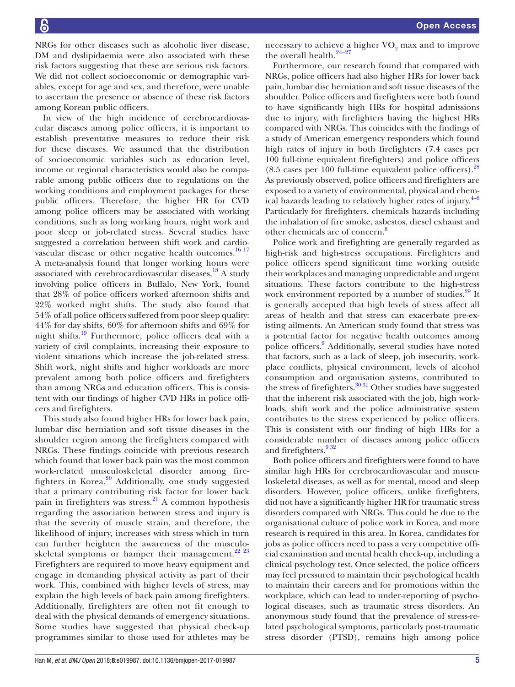NRGs for other diseases such as alcoholic liver disease, DM and dyslipidaemia were also associated with these risk factors suggesting that these are serious risk factors. We did not collect socioeconomic or demographic variables, except for age and sex, and therefore, were unable to ascertain the presence or absence of these risk factors among Korean public officers.

In view of the high incidence of cerebrocardiovascular diseases among police officers, it is important to establish preventative measures to reduce their risk for these diseases. We assumed that the distribution of socioeconomic variables such as education level, income or regional characteristics would also be comparable among public officers due to regulations on the working conditions and employment packages for these public officers. Therefore, the higher HR for CVD among police officers may be associated with working conditions, such as long working hours, night work and poor sleep or job-related stress. Several studies have suggested a correlation between shift work and cardio-vascular disease or other negative health outcomes.<sup>[16 17](#page-5-7)</sup> A meta-analysis found that longer working hours were associated with cerebrocardiovascular diseases.<sup>[18](#page-5-8)</sup> A study involving police officers in Buffalo, New York, found that 28% of police officers worked afternoon shifts and 22% worked night shifts. The study also found that 54% of all police officers suffered from poor sleep quality: 44% for day shifts, 60% for afternoon shifts and 69% for night shifts[.19](#page-5-9) Furthermore, police officers deal with a variety of civil complaints, increasing their exposure to violent situations which increase the job-related stress. Shift work, night shifts and higher workloads are more prevalent among both police officers and firefighters than among NRGs and education officers. This is consistent with our findings of higher CVD HRs in police officers and firefighters.

This study also found higher HRs for lower back pain, lumbar disc herniation and soft tissue diseases in the shoulder region among the firefighters compared with NRGs. These findings coincide with previous research which found that lower back pain was the most common work-related musculoskeletal disorder among fire-fighters in Korea.<sup>[20](#page-5-10)</sup> Additionally, one study suggested that a primary contributing risk factor for lower back pain in firefighters was stress.<sup>[21](#page-5-11)</sup> A common hypothesis regarding the association between stress and injury is that the severity of muscle strain, and therefore, the likelihood of injury, increases with stress which in turn can further heighten the awareness of the musculoskeletal symptoms or hamper their management. $^{22}$   $^{23}$ Firefighters are required to move heavy equipment and engage in demanding physical activity as part of their work. This, combined with higher levels of stress, may explain the high levels of back pain among firefighters. Additionally, firefighters are often not fit enough to deal with the physical demands of emergency situations. Some studies have suggested that physical check-up programmes similar to those used for athletes may be

necessary to achieve a higher  $VO<sub>2</sub>$  max and to improve the overall health. $24-27$ 

Furthermore, our research found that compared with NRGs, police officers had also higher HRs for lower back pain, lumbar disc herniation and soft tissue diseases of the shoulder. Police officers and firefighters were both found to have significantly high HRs for hospital admissions due to injury, with firefighters having the highest HRs compared with NRGs. This coincides with the findings of a study of American emergency responders which found high rates of injury in both firefighters (7.4 cases per 100 full-time equivalent firefighters) and police officers  $(8.5 \text{ cases per } 100 \text{ full-time equivalent police officers})$ .<sup>[28](#page-6-2)</sup> As previously observed, police officers and firefighters are exposed to a variety of environmental, physical and chemical hazards leading to relatively higher rates of injury. $4-6$ Particularly for firefighters, chemicals hazards including the inhalation of fire smoke, asbestos, diesel exhaust and other chemicals are of concern.<sup>[8](#page-5-12)</sup>

Police work and firefighting are generally regarded as high-risk and high-stress occupations. Firefighters and police officers spend significant time working outside their workplaces and managing unpredictable and urgent situations. These factors contribute to the high-stress work environment reported by a number of studies.<sup>29</sup> It is generally accepted that high levels of stress affect all areas of health and that stress can exacerbate pre-existing ailments. An American study found that stress was a potential factor for negative health outcomes among police officers.<sup>[9](#page-5-3)</sup> Additionally, several studies have noted that factors, such as a lack of sleep, job insecurity, workplace conflicts, physical environment, levels of alcohol consumption and organisation systems, contributed to the stress of firefighters. $3031$  Other studies have suggested that the inherent risk associated with the job, high workloads, shift work and the police administrative system contributes to the stress experienced by police officers. This is consistent with our finding of high HRs for a considerable number of diseases among police officers and firefighters.<sup>932</sup>

Both police officers and firefighters were found to have similar high HRs for cerebrocardiovascular and musculoskeletal diseases, as well as for mental, mood and sleep disorders. However, police officers, unlike firefighters, did not have a significantly higher HR for traumatic stress disorders compared with NRGs. This could be due to the organisational culture of police work in Korea, and more research is required in this area. In Korea, candidates for jobs as police officers need to pass a very competitive official examination and mental health check-up, including a clinical psychology test. Once selected, the police officers may feel pressured to maintain their psychological health to maintain their careers and for promotions within the workplace, which can lead to under-reporting of psychological diseases, such as traumatic stress disorders. An anonymous study found that the prevalence of stress-related psychological symptoms, particularly post-traumatic stress disorder (PTSD), remains high among police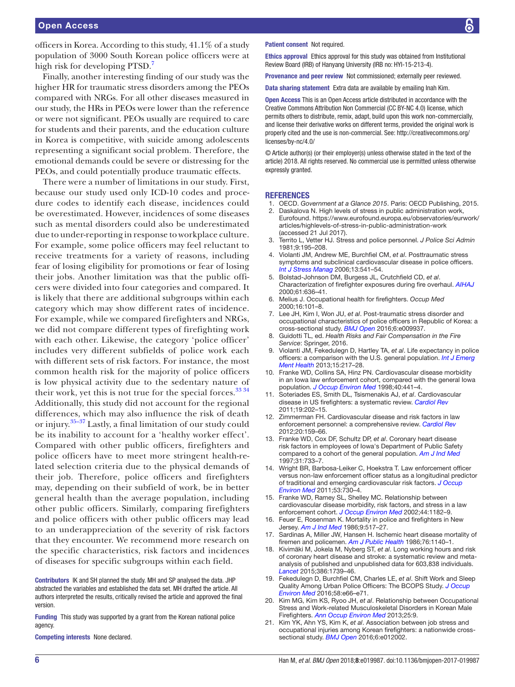officers in Korea. According to this study, 41.1% of a study population of 3000 South Korean police officers were at high risk for developing PTSD.<sup>7</sup>

Finally, another interesting finding of our study was the higher HR for traumatic stress disorders among the PEOs compared with NRGs. For all other diseases measured in our study, the HRs in PEOs were lower than the reference or were not significant. PEOs usually are required to care for students and their parents, and the education culture in Korea is competitive, with suicide among adolescents representing a significant social problem. Therefore, the emotional demands could be severe or distressing for the PEOs, and could potentially produce traumatic effects.

There were a number of limitations in our study. First, because our study used only ICD-10 codes and procedure codes to identify each disease, incidences could be overestimated. However, incidences of some diseases such as mental disorders could also be underestimated due to under-reporting in response to workplace culture. For example, some police officers may feel reluctant to receive treatments for a variety of reasons, including fear of losing eligibility for promotions or fear of losing their jobs. Another limitation was that the public officers were divided into four categories and compared. It is likely that there are additional subgroups within each category which may show different rates of incidence. For example, while we compared firefighters and NRGs, we did not compare different types of firefighting work with each other. Likewise, the category 'police officer' includes very different subfields of police work each with different sets of risk factors. For instance, the most common health risk for the majority of police officers is low physical activity due to the sedentary nature of their work, yet this is not true for the special forces. $3334$ Additionally, this study did not account for the regional differences, which may also influence the risk of death or injury.[35–37](#page-6-6) Lastly, a final limitation of our study could be its inability to account for a 'healthy worker effect'. Compared with other public officers, firefighters and police officers have to meet more stringent health-related selection criteria due to the physical demands of their job. Therefore, police officers and firefighters may, depending on their subfield of work, be in better general health than the average population, including other public officers. Similarly, comparing firefighters and police officers with other public officers may lead to an underappreciation of the severity of risk factors that they encounter. We recommend more research on the specific characteristics, risk factors and incidences of diseases for specific subgroups within each field.

Contributors IK and SH planned the study. MH and SP analysed the data. JHP abstracted the variables and established the data set. MH drafted the article. All authors interpreted the results, critically revised the article and approved the final version.

Funding This study was supported by a grant from the Korean national police agency.

Competing interests None declared.

#### Patient consent Not required.

Ethics approval Ethics approval for this study was obtained from Institutional Review Board (IRB) of Hanyang University (IRB no: HYI-15-213-4).

Provenance and peer review Not commissioned; externally peer reviewed.

Data sharing statement Extra data are available by emailing Inah Kim.

Open Access This is an Open Access article distributed in accordance with the Creative Commons Attribution Non Commercial (CC BY-NC 4.0) license, which permits others to distribute, remix, adapt, build upon this work non-commercially, and license their derivative works on different terms, provided the original work is properly cited and the use is non-commercial. See: [http://creativecommons.org/](http://creativecommons.org/licenses/by-nc/4.0/) [licenses/by-nc/4.0/](http://creativecommons.org/licenses/by-nc/4.0/)

© Article author(s) (or their employer(s) unless otherwise stated in the text of the article) 2018. All rights reserved. No commercial use is permitted unless otherwise expressly granted.

#### **REFERENCES**

- <span id="page-5-0"></span>1. OECD. *Government at a Glance 2015*. Paris: OECD Publishing, 2015.
- <span id="page-5-1"></span>2. Daskalova N. High levels of stress in public administration work, Eurofound. [https://www.eurofound.europa.eu/observatories/eurwork/](https://www.eurofound.europa.eu/observatories/eurwork/articles/highlevels-of-stress-in-public-administration-work) [articles/highlevels-of-stress-in-public-administration-work](https://www.eurofound.europa.eu/observatories/eurwork/articles/highlevels-of-stress-in-public-administration-work)  (accessed 21 Jul 2017).
- 3. Territo L, Vetter HJ. Stress and police personnel. *J Police Sci Admin* 1981;9:195–208.
- <span id="page-5-2"></span>4. Violanti JM, Andrew ME, Burchfiel CM, *et al*. Posttraumatic stress symptoms and subclinical cardiovascular disease in police officers. *[Int J Stress Manag](http://dx.doi.org/10.1037/1072-5245.13.4.541)* 2006;13:541–54.
- 5. Bolstad-Johnson DM, Burgess JL, Crutchfield CD, *et al*. Characterization of firefighter exposures during fire overhaul. *[AIHAJ](http://dx.doi.org/10.1202/0002-8894(2000)061<0636:COFEDF>2.0.CO;2)* 2000;61:636–41.
- 6. Melius J. Occupational health for firefighters. *Occup Med* 2000;16:101–8.
- <span id="page-5-13"></span>7. Lee JH, Kim I, Won JU, *et al*. Post-traumatic stress disorder and occupational characteristics of police officers in Republic of Korea: a cross-sectional study. *[BMJ Open](http://dx.doi.org/10.1136/bmjopen-2015-009937)* 2016;6:e009937.
- <span id="page-5-12"></span>8. Guidotti TL, ed. *Health Risks and Fair Compensation in the Fire Service*: Springer, 2016.
- <span id="page-5-3"></span>9. Violanti JM, Fekedulegn D, Hartley TA, *et al*. Life expectancy in police officers: a comparison with the U.S. general population. *[Int J Emerg](http://www.ncbi.nlm.nih.gov/pubmed/24707585)  [Ment Health](http://www.ncbi.nlm.nih.gov/pubmed/24707585)* 2013;15:217–28.
- <span id="page-5-4"></span>10. Franke WD, Collins SA, Hinz PN. Cardiovascular disease morbidity in an Iowa law enforcement cohort, compared with the general Iowa population. *[J Occup Environ Med](http://dx.doi.org/10.1097/00043764-199805000-00006)* 1998;40:441–4.
- <span id="page-5-5"></span>11. Soteriades ES, Smith DL, Tsismenakis AJ, *et al*. Cardiovascular disease in US firefighters: a systematic review. *[Cardiol Rev](http://dx.doi.org/10.1097/CRD.0b013e318215c105)* 2011;19:202–15.
- <span id="page-5-6"></span>12. Zimmerman FH. Cardiovascular disease and risk factors in law enforcement personnel: a comprehensive review. *[Cardiol Rev](http://dx.doi.org/10.1097/CRD.0b013e318248d631)* 2012;20:159–66.
- 13. Franke WD, Cox DF, Schultz DP, *et al*. Coronary heart disease risk factors in employees of Iowa's Department of Public Safety compared to a cohort of the general population. *[Am J Ind Med](http://dx.doi.org/10.1002/(SICI)1097-0274(199706)31:6<733::AID-AJIM10>3.0.CO;2-Z)* 1997;31:733–7.
- 14. Wright BR, Barbosa-Leiker C, Hoekstra T. Law enforcement officer versus non-law enforcement officer status as a longitudinal predictor of traditional and emerging cardiovascular risk factors. *[J Occup](http://dx.doi.org/10.1097/JOM.0b013e318220c2da)  [Environ Med](http://dx.doi.org/10.1097/JOM.0b013e318220c2da)* 2011;53:730–4.
- 15. Franke WD, Ramey SL, Shelley MC. Relationship between cardiovascular disease morbidity, risk factors, and stress in a law enforcement cohort. *[J Occup Environ Med](http://dx.doi.org/10.1097/00043764-200212000-00014)* 2002;44:1182–9.
- <span id="page-5-7"></span>16. Feuer E, Rosenman K. Mortality in police and firefighters in New Jersey. *[Am J Ind Med](http://dx.doi.org/10.1002/ajim.4700090603)* 1986;9:517–27.
- 17. Sardinas A, Miller JW, Hansen H. Ischemic heart disease mortality of firemen and policemen. *[Am J Public Health](http://dx.doi.org/10.2105/AJPH.76.9.1140)* 1986;76:1140–1.
- <span id="page-5-8"></span>18. Kivimäki M, Jokela M, Nyberg ST, *et al*. Long working hours and risk of coronary heart disease and stroke: a systematic review and metaanalysis of published and unpublished data for 603,838 individuals. *[Lancet](http://dx.doi.org/10.1016/S0140-6736(15)60295-1)* 2015;386:1739–46.
- <span id="page-5-9"></span>19. Fekedulegn D, Burchfiel CM, Charles LE, *et al*. Shift Work and Sleep Quality Among Urban Police Officers: The BCOPS Study. *[J Occup](http://dx.doi.org/10.1097/JOM.0000000000000620)  [Environ Med](http://dx.doi.org/10.1097/JOM.0000000000000620)* 2016;58:e66–e71.
- <span id="page-5-10"></span>20. Kim MG, Kim KS, Ryoo JH, *et al*. Relationship between Occupational Stress and Work-related Musculoskeletal Disorders in Korean Male Firefighters. *[Ann Occup Environ Med](http://dx.doi.org/10.1186/2052-4374-25-9)* 2013;25:9.
- <span id="page-5-11"></span>21. Kim YK, Ahn YS, Kim K, *et al*. Association between job stress and occupational injuries among Korean firefighters: a nationwide crosssectional study. *[BMJ Open](http://dx.doi.org/10.1136/bmjopen-2016-012002)* 2016;6:e012002.